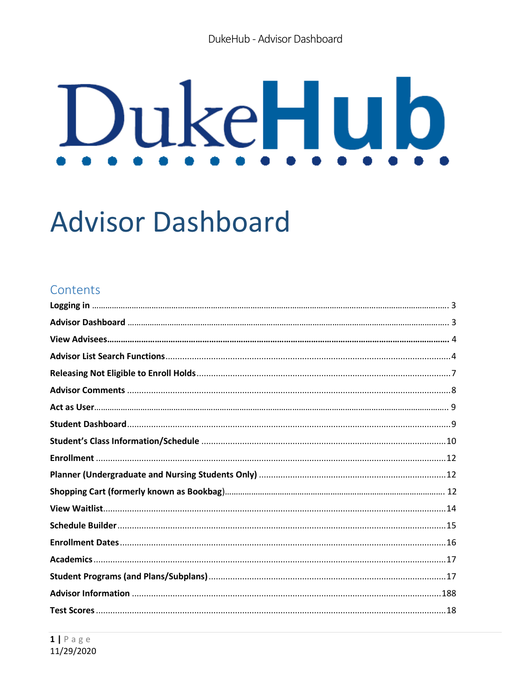# DukeHub

# **Advisor Dashboard**

# Contents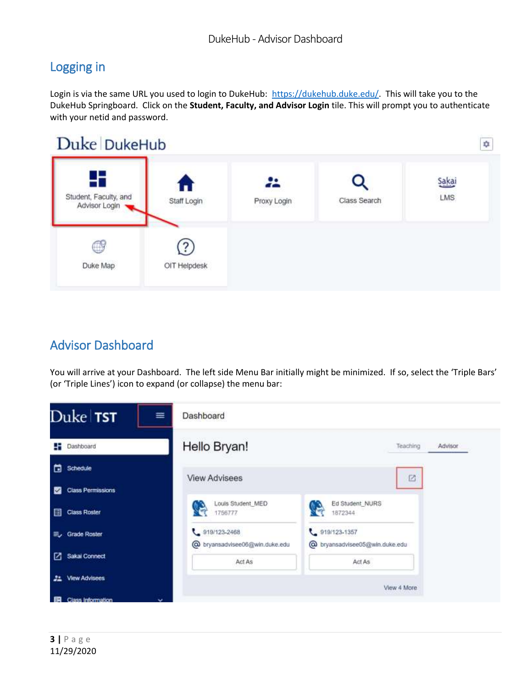# <span id="page-2-0"></span>Logging in

Login is via the same URL you used to login to DukeHub: [https://dukehub.duke.edu/.](https://dukehub.duke.edu/) This will take you to the DukeHub Springboard. Click on the **Student, Faculty, and Advisor Login** tile. This will prompt you to authenticate with your netid and password.



# <span id="page-2-1"></span>Advisor Dashboard

You will arrive at your Dashboard. The left side Menu Bar initially might be minimized. If so, select the 'Triple Bars' (or 'Triple Lines') icon to expand (or collapse) the menu bar:

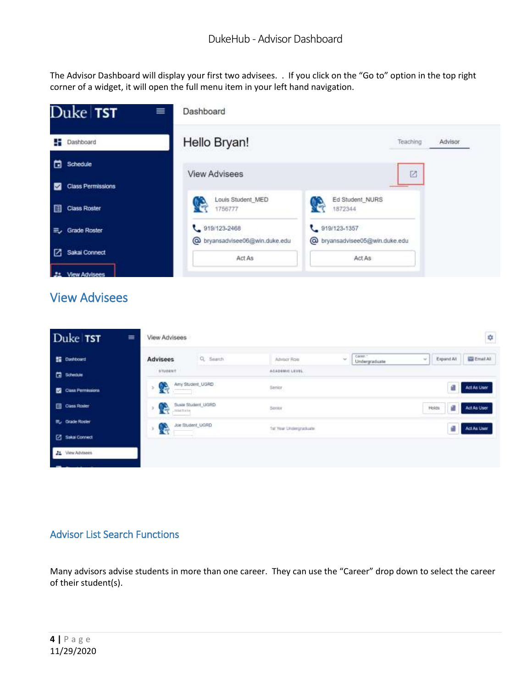The Advisor Dashboard will display your first two advisees. . If you click on the "Go to" option in the top right corner of a widget, it will open the full menu item in your left hand navigation.



# <span id="page-3-0"></span>View Advisees

| Duke TST           | View Advisees<br>亖                                          |                             |                                               | ¢                                 |
|--------------------|-------------------------------------------------------------|-----------------------------|-----------------------------------------------|-----------------------------------|
| <b>E</b> Dashboard | Q Search<br><b>Advisees</b>                                 | Advisor Role                | Came -<br>$\omega$<br>$\sim$<br>Undergraduate | <b>ES Email All</b><br>Expand Alt |
| <b>黄 Schedule</b>  | STUDENT                                                     | AGADEMIC LEVEL              |                                               |                                   |
| Class Fermissions  | Arry Student UGRD<br>$\sqrt{2}$<br>to the families and con- | Senior<br><b>CASTLE AND</b> |                                               | Act As User<br>£                  |
| Class Roster       | Susie Student, UGRD<br>r.<br><b>TELETING</b>                | <b>CANADA</b><br>Senton     |                                               | Holds<br>Act As User<br>c         |
| 三、Grade Roster     | Joe Bludent_UGRD                                            | 1st Year Undergraduate      |                                               | Act As User                       |
| Salai Connect      | XЕ                                                          |                             |                                               |                                   |
| 22 View Advisees   |                                                             |                             |                                               |                                   |
|                    |                                                             |                             |                                               |                                   |

#### <span id="page-3-1"></span>Advisor List Search Functions

Many advisors advise students in more than one career. They can use the "Career" drop down to select the career of their student(s).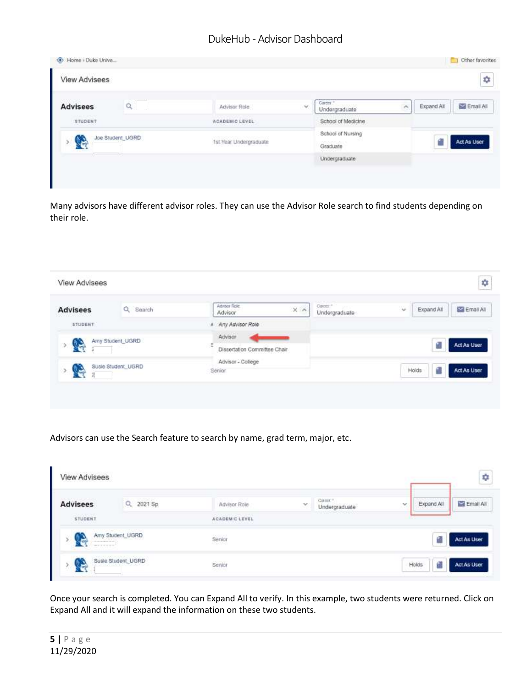| View Advisees   |                  |                        |    |                                       |    |            | Φ                     |
|-----------------|------------------|------------------------|----|---------------------------------------|----|------------|-----------------------|
| <b>Advisees</b> | Q                | Advisor Role           | w. | Career."<br>Undergraduate             | è, | Expand All | <b>Bill</b> Email All |
| STUDENT         |                  | ACADEMIC LEVEL         |    | School of Medicine                    |    |            |                       |
| Q               | Joe Student_UGRD | 1st Year Undergraduate |    | School of Nursing<br>Graduate<br>---- |    |            | Act As User           |
|                 |                  |                        |    | Undergraduate                         |    |            |                       |

Many advisors have different advisor roles. They can use the Advisor Role search to find students depending on their role.

| <b>Advisees</b> | Q Search           | Advisor Role:<br>$\times n$<br>Advisor | Career. <sup>+</sup><br>Undergraduate | $\sim$<br>Email All<br>Expand All |
|-----------------|--------------------|----------------------------------------|---------------------------------------|-----------------------------------|
| <b>STUDENT</b>  |                    | # Any Advisor Role                     |                                       |                                   |
|                 | Amy Student_UGRD   | Advisor                                |                                       |                                   |
| <b>C</b><br>÷.  |                    | ε<br>Dissertation Committee Chair      |                                       | Act As User                       |
|                 | Susie Student_UGRD | Advisor - College                      |                                       |                                   |
| G               |                    | Senior                                 |                                       | Act As User<br>Holds              |

Advisors can use the Search feature to search by name, grad term, major, etc.

| <b>View Advisees</b>                              |                                               |                                                |   |                         |        |                                    | ¢           |
|---------------------------------------------------|-----------------------------------------------|------------------------------------------------|---|-------------------------|--------|------------------------------------|-------------|
| <b>Advisees</b>                                   | Q 2021 Sp                                     | Advisor Role                                   | × | CHOIC*<br>Undergraduate | $\sim$ | The Committee of the<br>Expand All | Email All   |
| <b>EVANDED BY</b><br>STUDENT                      |                                               | Service County Peace (April)<br>ACADEMIC LEVEL |   | <u>ona music</u>        |        |                                    |             |
| i ol<br>downstrategy dealers<br><b>WASHINGTON</b> | Amy Student_UGRD                              | Senior                                         |   |                         |        |                                    | Act As User |
| G                                                 | TANK SAMPLE RANGE STATE<br>Susie Student_UGRD | Senior                                         |   |                         |        | Holds<br>ß                         | Act As User |

Once your search is completed. You can Expand All to verify. In this example, two students were returned. Click on Expand All and it will expand the information on these two students.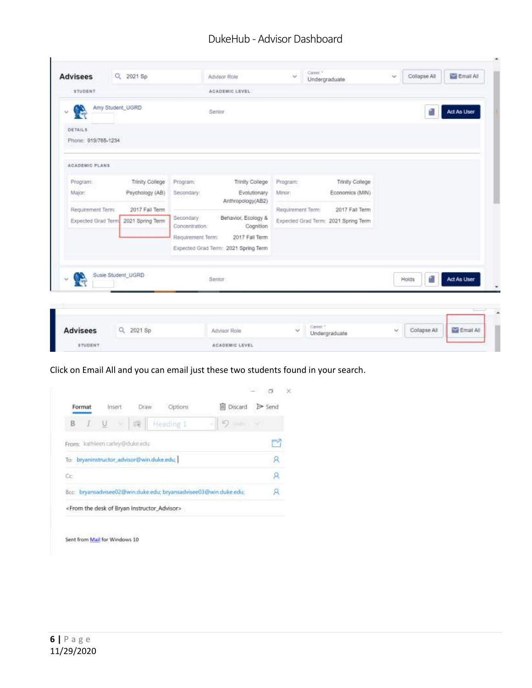| <b>Advisees</b>                       | Q 2021 Sp       | Advisor Role                                                    | $\omega$          | Career."<br>Undergraduate            | Collapse All<br>$\sim$       | Email All          |
|---------------------------------------|-----------------|-----------------------------------------------------------------|-------------------|--------------------------------------|------------------------------|--------------------|
| <b>STUDENT</b>                        |                 | <b>ACADEMIC LEVEL</b>                                           |                   |                                      |                              |                    |
| Amy Student, UGRD<br>v.               |                 | Senior                                                          |                   |                                      |                              | Act As User        |
| <b>DETAILS</b><br>Phone: 919/765-1234 |                 |                                                                 |                   |                                      |                              |                    |
|                                       |                 |                                                                 |                   |                                      |                              |                    |
| <b>ACADEMIC PLANS</b>                 |                 |                                                                 |                   |                                      |                              |                    |
| Program:                              | Trinity College | Program:<br>Trinity College                                     | Program:          | Trinity College                      |                              |                    |
| Major:                                | Psychology (AB) | Evolutionary<br>Secondary:<br>Anthropology(AB2)                 | Minor:            | Economics (MIN)                      |                              |                    |
| Requirement Term:                     | 2017 Fall Term  |                                                                 | Requirement Term: | 2017 Fall Term                       |                              |                    |
| Expected Grad Term 2021 Spring Term   |                 | Behavior, Ecology &<br>Secondary<br>Cognition<br>Concentration: |                   | Expected Grad Term: 2021 Spring Term |                              |                    |
|                                       |                 | Requirement Term:<br>2017 Fall Term                             |                   |                                      |                              |                    |
|                                       |                 | Expected Grad Term: 2021 Spring Term                            |                   |                                      |                              |                    |
| Susie Student UGRD<br>œ               |                 | Senior                                                          |                   |                                      | Holds                        | Act As User        |
|                                       |                 |                                                                 |                   |                                      |                              |                    |
|                                       |                 |                                                                 |                   |                                      |                              |                    |
| <b>Advisees</b>                       | Q<br>2021 Sp    | Advisor Role                                                    | U                 | Galler,"<br>Undergraduate            | Collapse All<br>$\mathbf{v}$ | <b>M</b> Email All |
| <b>STUDENT</b>                        |                 | ACADEMIC LEVEL                                                  |                   |                                      |                              |                    |

Click on Email All and you can email just these two students found in your search.

| Format |                                                                   | Draw                 | Options   | 间 Discard                                                        | <b>B</b> Send |  |
|--------|-------------------------------------------------------------------|----------------------|-----------|------------------------------------------------------------------|---------------|--|
| B      |                                                                   | $\frac{1}{\alpha-1}$ | Heading 1 | り……                                                              |               |  |
|        | From: kathleen carley@duke.edu                                    |                      |           |                                                                  |               |  |
|        | To bryaninstructor_advisor@win.duke.edu;                          |                      |           |                                                                  |               |  |
| Cc     |                                                                   |                      |           |                                                                  |               |  |
|        |                                                                   |                      |           | Bcc: bryansadvisee02@win.duke.edu; bryansadvisee03@win.duke.edu; |               |  |
|        | <from bryan="" desk="" instructor_advisor="" of="" the=""></from> |                      |           |                                                                  |               |  |

Sent from Mail for Windows 10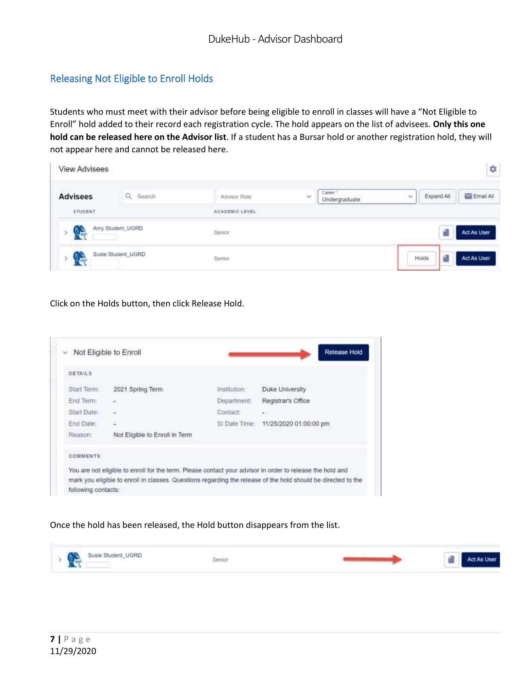#### <span id="page-6-0"></span>Releasing Not Eligible to Enroll Holds

Students who must meet with their advisor before being eligible to enroll in classes will have a "Not Eligible to Enroll" hold added to their record each registration cycle. The hold appears on the list of advisees. **Only this one hold can be released here on the Advisor list**. If a student has a Bursar hold or another registration hold, they will not appear here and cannot be released here.

| <b>View Advisees</b> |                           |                |               |                           |               |                            | ¢,          |
|----------------------|---------------------------|----------------|---------------|---------------------------|---------------|----------------------------|-------------|
| <b>Advisees</b>      | Q Search                  | Advisor Role   | $\mathcal{M}$ | Career."<br>Undergraduate | $\mathcal{A}$ | Expand All                 | Email All   |
| STUDENT              |                           | ACADEMIC LEVEL |               |                           |               |                            |             |
| ಿ                    | Amy Student_UGRD          | Senior         |               |                           |               |                            | Act As User |
| <b>R</b>             | Susie Student_UGRD<br>200 | Senior         |               |                           |               | Holds<br><b>CONTRACTOR</b> | Act As User |

Click on the Holds button, then click Release Hold.

| <b>DETAILS</b>                |                                                 |                                 |                                      |
|-------------------------------|-------------------------------------------------|---------------------------------|--------------------------------------|
| Start Term:                   | <b>FERENCIA DE MANERADO</b><br>2021 Spring Term | 025-042-5-21129<br>Institution: | Duke University                      |
| End Term:                     | ٠                                               | Department:                     | Registrar's Office                   |
| Start Date:                   | ¥                                               | Contact:                        | $\overline{\phantom{a}}$             |
| End Date:                     | E,                                              |                                 | SI Date Time: 11/25/2020 01:00:00 pm |
| Reason:                       | Not Eligible to Enroll in Term                  |                                 |                                      |
| <b>COMMENTS</b><br>www.netock |                                                 |                                 |                                      |

Once the hold has been released, the Hold button disappears from the list.

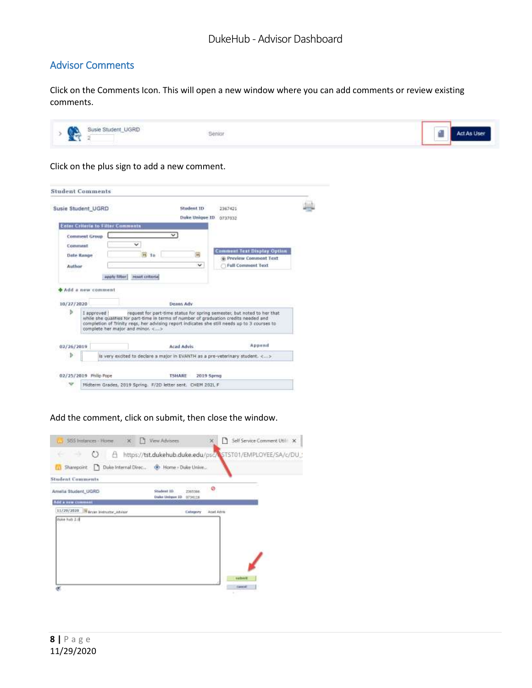#### <span id="page-7-0"></span>Advisor Comments

Click on the Comments Icon. This will open a new window where you can add comments or review existing comments.

| G. | Susie Student_UGRD<br>Senior | <b>ABLE</b> | <b>Act As User</b> |
|----|------------------------------|-------------|--------------------|
|----|------------------------------|-------------|--------------------|

Click on the plus sign to add a new comment.

|                                          |                                                            | Student 1D                         | 2367421                                                                                                                                                                                                                                                          |  |
|------------------------------------------|------------------------------------------------------------|------------------------------------|------------------------------------------------------------------------------------------------------------------------------------------------------------------------------------------------------------------------------------------------------------------|--|
| Susie Student UGRD                       |                                                            |                                    |                                                                                                                                                                                                                                                                  |  |
|                                          |                                                            | Duke Unique ID                     | 0737032                                                                                                                                                                                                                                                          |  |
| <b>Enter Criteria to Filter Comments</b> |                                                            |                                    |                                                                                                                                                                                                                                                                  |  |
| <b>Comment Group</b>                     |                                                            |                                    |                                                                                                                                                                                                                                                                  |  |
| Comment                                  | v                                                          |                                    |                                                                                                                                                                                                                                                                  |  |
| Date Range                               | H <sub>10</sub>                                            | 戒                                  | <b>Comment Test Display Option</b>                                                                                                                                                                                                                               |  |
|                                          |                                                            |                                    | C Preview Comment Text                                                                                                                                                                                                                                           |  |
| Author                                   |                                                            | v                                  | <b>Full Comment Text</b>                                                                                                                                                                                                                                         |  |
|                                          | upply filter<br>asset criterial                            |                                    |                                                                                                                                                                                                                                                                  |  |
|                                          |                                                            |                                    |                                                                                                                                                                                                                                                                  |  |
| Add a new comment                        |                                                            |                                    |                                                                                                                                                                                                                                                                  |  |
|                                          |                                                            |                                    |                                                                                                                                                                                                                                                                  |  |
|                                          |                                                            | Deans Adv                          |                                                                                                                                                                                                                                                                  |  |
| 10/27/2020                               |                                                            |                                    |                                                                                                                                                                                                                                                                  |  |
| ъ<br>I approved !                        | complete her major and minor. <>                           |                                    | request for part-time status for spring semester, but noted to her that<br>while she qualifies for part-time in terms of number of graduation credits needed and<br>completion of Trinity regs, her advising report indicates she still needs up to 3 courses to |  |
| 02/26/2019                               |                                                            | <b>Acad Advis</b>                  | Append                                                                                                                                                                                                                                                           |  |
| Þ                                        |                                                            |                                    |                                                                                                                                                                                                                                                                  |  |
|                                          |                                                            |                                    | is very excited to declare a major in EVANTH as a pre-veterinary student. <>                                                                                                                                                                                     |  |
| 02/25/2019 Philip Pope                   |                                                            | <b>2019 Sprng</b><br><b>TSHARE</b> |                                                                                                                                                                                                                                                                  |  |
|                                          | Midterm Grades, 2019 Spring. F/20 letter sent. CHEM 202L F |                                    |                                                                                                                                                                                                                                                                  |  |

Add the comment, click on submit, then close the window.

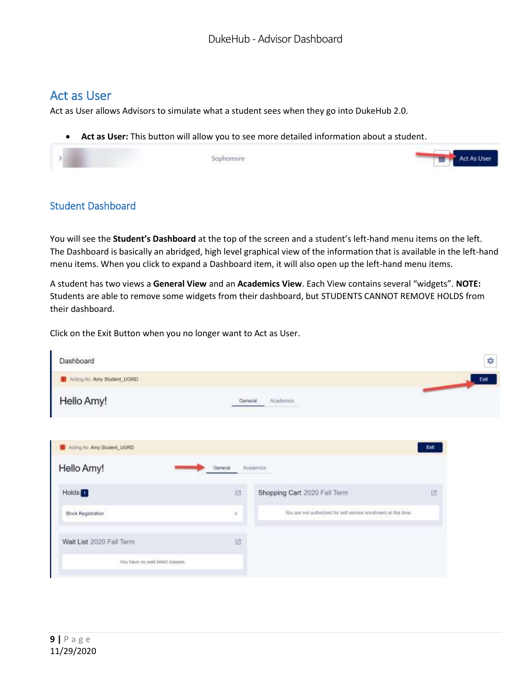# <span id="page-8-0"></span>Act as User

Act as User allows Advisors to simulate what a student sees when they go into DukeHub 2.0.

• **Act as User:** This button will allow you to see more detailed information about a student.



#### <span id="page-8-1"></span>Student Dashboard

You will see the **Student's Dashboard** at the top of the screen and a student's left-hand menu items on the left. The Dashboard is basically an abridged, high level graphical view of the information that is available in the left-hand menu items. When you click to expand a Dashboard item, it will also open up the left-hand menu items.

A student has two views a **General View** and an **Academics View**. Each View contains several "widgets". **NOTE:**  Students are able to remove some widgets from their dashboard, but STUDENTS CANNOT REMOVE HOLDS from their dashboard.

Click on the Exit Button when you no longer want to Act as User.

| Dashboard                      |                         |                                                                  | ۰    |
|--------------------------------|-------------------------|------------------------------------------------------------------|------|
| LE Acting As: Amy Student_UGRD |                         |                                                                  | Exit |
| Hello Amy!                     | General                 | Academics                                                        |      |
| Acting As: Amy Student_UGRD    |                         |                                                                  | Exit |
| Hello Amy!                     | General                 | Academica                                                        |      |
|                                |                         |                                                                  |      |
| Holds <sup>1</sup>             | $\overline{\mathbb{Z}}$ | Shopping Cart 2020 Fall Term                                     | ø    |
| Black Registration             | ×                       | You are not authorized for self service errollment at this time. |      |
| Wait List 2020 Fall Term       | 团                       |                                                                  |      |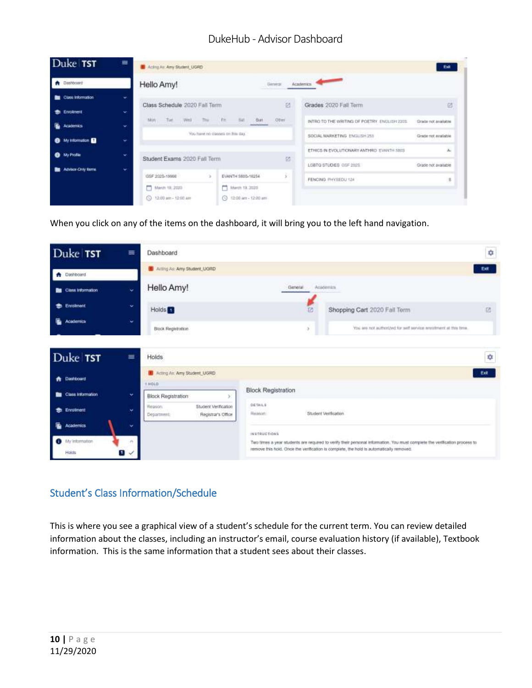| Duke TST                                  | ≡         | Acting Air Any Student, UGRD             |         |                                                                        |                |                                                                                      | Exit                      |
|-------------------------------------------|-----------|------------------------------------------|---------|------------------------------------------------------------------------|----------------|--------------------------------------------------------------------------------------|---------------------------|
| <b>A</b> Dashboard                        |           | Hello Amy!                               |         |                                                                        | <b>General</b> | Arademics                                                                            |                           |
| Class Information<br><b>St.</b> Enrolment | ×<br>w    | Class Schedule 2020 Fall Term            |         |                                                                        | id             | Grades 2020 Fall Term<br>The control of the control of the control of the control of | 诏                         |
| <b>Academics</b>                          | $\ddot{}$ | <b>Versi</b><br>The <sup>o</sup><br>Min. | The Fit | Sat Sun                                                                | Other          | INTRO TO THE WRITING OF POETRY. ENGLISH 2205.                                        | Grade not available.      |
| <sup>6</sup> My Information <sup>6</sup>  | ÷         |                                          |         | You flaws no disease on free day.                                      |                | SOCIAL MARKETING ENGLISH 255                                                         | Grade not available.      |
| <b>O</b> My Protie                        | ÷         | Student Exams 2020 Fall Term             |         |                                                                        | 硕              | ETHICS IN EVOLUTIONARY ANTHRO- EVANTH SBIS<br>LGBTO STUDIES GSF 2025                 | Ă.<br>Grade not available |
| Advisor-Driv Terre.                       | ×.        | GSF 2025-19966                           | VS.     | EVANTH 5805-16254                                                      | š              | FENCING ITHYSEDU 124                                                                 | s                         |
|                                           |           | March 19, 2020<br>C 12:00 am - 12:00 am  |         | March 19, 3330<br>3 12:00 am - 12:00 any<br>The word Higgs and Concert |                |                                                                                      |                           |

When you click on any of the items on the dashboard, it will bring you to the left hand navigation.

| Duke TST                     | $\equiv$             | Dashboard                                                             |                                     |   |                                                                                                                                                                                                                       | ۰    |
|------------------------------|----------------------|-----------------------------------------------------------------------|-------------------------------------|---|-----------------------------------------------------------------------------------------------------------------------------------------------------------------------------------------------------------------------|------|
| <b>A</b> Dashboard           |                      | <b>U</b> Arting As: Amy Student, UGRD                                 |                                     |   |                                                                                                                                                                                                                       | Ext  |
| <b>But</b> Class Information | w                    | Hello Amy!                                                            | General:                            |   | Academics                                                                                                                                                                                                             |      |
| Enrolment<br>Ð               | w                    | Holds <sup>3</sup>                                                    |                                     | ᅞ | Shopping Cart 2020 Fall Term                                                                                                                                                                                          | 环    |
| <b>Academics</b>             | $\ddot{\phantom{1}}$ | Block Registration                                                    |                                     |   | You are not authorized for self service enrolment at this time.                                                                                                                                                       |      |
| Duke TST                     | ≡                    | Holds                                                                 |                                     |   |                                                                                                                                                                                                                       | ÷    |
| Dashboard<br>٠               |                      | B Acting As: Amy Student, UGRD<br>T HOLD                              |                                     |   |                                                                                                                                                                                                                       | Exit |
| Class Information<br>m       | ×                    | Block Registration                                                    | <b>Block Registration</b>           |   |                                                                                                                                                                                                                       |      |
| <b>Enrolment</b><br>÷        | ×                    | Student Verification<br>Fleepom:<br>Registrar's Office<br>Department: | <b>DETAILS</b><br><b>Hastenbett</b> |   | Student Verification                                                                                                                                                                                                  |      |
| ſ.<br><b>Academics</b>       | ×                    |                                                                       | INSTRUCTIONS                        |   |                                                                                                                                                                                                                       |      |
| My information<br>o<br>Holds | u -                  |                                                                       |                                     |   | Two times a year students are required to verify their personal information. You must complete the verification process to<br>remove this hold. Once the verification is complete, the hold is automatically removed. |      |

#### <span id="page-9-0"></span>Student's Class Information/Schedule

This is where you see a graphical view of a student's schedule for the current term. You can review detailed information about the classes, including an instructor's email, course evaluation history (if available), Textbook information. This is the same information that a student sees about their classes.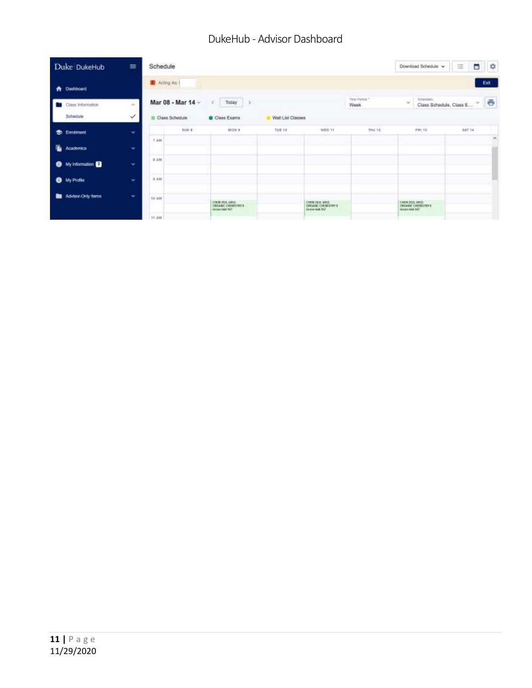| Duke DukeHub                             | 亖                                | Schedule     |                                     |                                                                           |                   |                                                                       |                                          | Download Schedule ~            | 曲<br>₩                                                                    | $\mathfrak{p}$ |
|------------------------------------------|----------------------------------|--------------|-------------------------------------|---------------------------------------------------------------------------|-------------------|-----------------------------------------------------------------------|------------------------------------------|--------------------------------|---------------------------------------------------------------------------|----------------|
| <b>A</b> Dashboard                       |                                  | Acting As: 1 |                                     |                                                                           |                   |                                                                       |                                          |                                |                                                                           | Ext.           |
| Class Information<br>Schedule            | $\sigma_{\rm c}$<br>$\checkmark$ |              | Mar 08 - Mar 14 -<br>Class Schedule | 這<br>Today<br>Class Exams                                                 | Wait List Classes |                                                                       | Time Period: 1<br>Week<br><b>COMPANY</b> | <b>Screenes</b><br>$\sim$      | $\sim$<br>Class Schedule, Class E<br><b>A SERVICE PARTNERS PROVIDENTS</b> | ē              |
| <b>S</b> Enrolment                       | ×                                |              | suu a                               | <b>MOM 9</b>                                                              | TUE 1H            | wen 11                                                                | THU 12                                   | eni ta                         | 627.14                                                                    |                |
| Б.<br>Academics                          | $\mathbf{v}$                     | 7.418        |                                     |                                                                           |                   |                                                                       |                                          |                                |                                                                           | ×              |
| <sup>6</sup> My Information <sup>2</sup> | $\ddot{}$                        | 3 AM         |                                     |                                                                           |                   |                                                                       |                                          |                                |                                                                           |                |
| <b>O</b> My Profile                      | $\sim$                           | 0.338        |                                     |                                                                           |                   |                                                                       |                                          |                                |                                                                           |                |
| Advisor-Only Items                       | ×.                               | 10.418       |                                     | CHEM 2020, (1812)<br>OBGANIC CHEMITERY B<br>GOOS NAT 107<br><b>SANSON</b> |                   | CHEM THYL SHELL<br>CONGAHIC CHEMILITIES<br>Granaceus 167<br>Anti-Sait |                                          | CHEM 2001.0003<br>GONNIBAR 197 |                                                                           |                |
|                                          |                                  | <b>TEAM</b>  |                                     |                                                                           |                   |                                                                       |                                          |                                |                                                                           |                |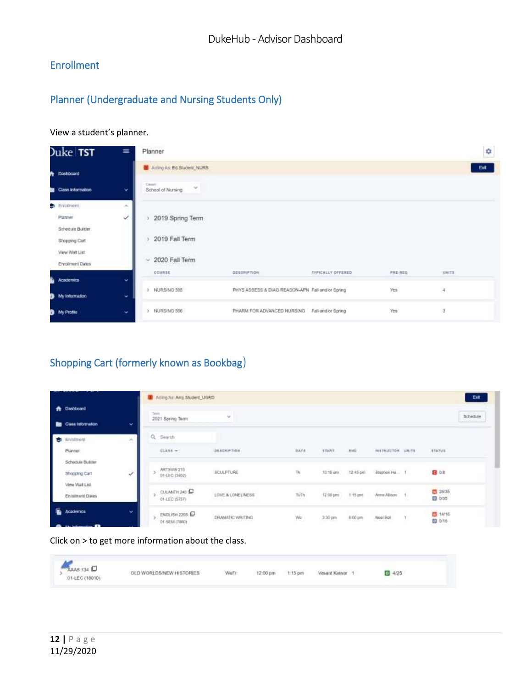# <span id="page-11-0"></span>Enrollment

# <span id="page-11-1"></span>Planner (Undergraduate and Nursing Students Only)

#### View a student's planner.

| Juke <b>TST</b><br>$\equiv$ | Planner                                                   |                                                  |                   |         | ¢              |
|-----------------------------|-----------------------------------------------------------|--------------------------------------------------|-------------------|---------|----------------|
| Dashboard                   | Acting As: Ed Student, NURS                               |                                                  |                   |         | Ext            |
| Class information<br>v      | Cent:<br>$\sim$<br>School of Nursing                      |                                                  |                   |         |                |
| Enrofment<br>×              |                                                           |                                                  |                   |         |                |
| Planner<br>✓                | 2019 Spring Term                                          |                                                  |                   |         |                |
| Schedule Builder            |                                                           |                                                  |                   |         |                |
| Shopping Cart               | 2019 Fall Term<br><b>PERSONAL AVAILABLE</b>               |                                                  |                   |         |                |
| View Wat List               |                                                           |                                                  |                   |         |                |
| Enrolment Dates             | 2020 Fall Term<br>$\sim$<br>the company of the company of |                                                  |                   |         |                |
| Academics                   | COURSE<br>ŵ                                               | <b>DESCRIPTION</b>                               | TYPICALLY OFFERED | FRE-RDG | <b>MMITS</b>   |
|                             | NURSING 595<br>$\rightarrow$                              | PHYS ASSESS & DIAG REASON-APN Fall and/or Spring |                   | Yes.    | $\frac{1}{4}$  |
| My information<br>v         |                                                           |                                                  |                   |         |                |
| My Profile                  | NURSING 596<br>$\rightarrow$<br>$\overline{\phantom{a}}$  | PHARM FOR ADVANCED NURSING Fall and/or Spring    |                   | Yes.    | $\overline{a}$ |

# <span id="page-11-2"></span>Shopping Cart (formerly known as Bookbag)

|                                            |              | <b>ID</b> Adling At: Amy Student, UGRD                  |                                                            |                |                                 |                            |                                 |               |                   | Eur      |
|--------------------------------------------|--------------|---------------------------------------------------------|------------------------------------------------------------|----------------|---------------------------------|----------------------------|---------------------------------|---------------|-------------------|----------|
| <b>Dashboard</b><br>∙<br>Class information | ×            | Terra.<br>2021 Spring Term                              | $\omega$                                                   |                |                                 |                            |                                 |               |                   | Schedule |
| Enrollment<br>e.                           | W.<br>a      | Q Search                                                |                                                            |                |                                 |                            |                                 |               |                   |          |
| Pranner                                    |              | CLASS =                                                 | DESCRIPTION                                                | <b>BAYA</b>    | <b>START</b>                    | <b>BMS</b>                 | <b>HESTRUETON</b>               | <b>LIMITS</b> | <b>STATUE</b>     |          |
| Schedule Builder<br><b>Shopping Cart</b>   | ✓            | Selection and a federal<br>ARTSVIS 210<br>01-LEC-(3492) | <b>BOULPTURE</b>                                           | $\overline{m}$ |                                 | 10:15 am :: 12:45 pm       | Blueban Ha. 1                   |               | 日 08              |          |
| View Walt List<br>Enrolment Dates          |              | CULANTH 243<br>01-LEC (5757)                            | LOVE & LONEUMESS<br><u> 대표 10 MB M 8 MB (1996) 10 MB M</u> | Turn<br>10066  | 12:00 pm<br>186 A Jerry         | $+15 \, \text{nm}$         | Ame Alison<br>n na matangan     |               | 图 26/36<br>图 0/35 |          |
| Œ.<br>Academics                            | $\checkmark$ | ENGLISH 2265<br>01-5EM (7860)<br>사람은 아이가 어떻게 보니?        | DRAMATIC WRITING<br>1979년 1989년 11월 11일 11월 12일            | WW<br>We       | 5250<br>$-2.30$ pm<br>7979 (SC) | $6.00 \text{ }\mu\text{m}$ | Noat Boll<br><b>AVIS DIRECT</b> | τ.            | ■ 14/16<br>四 0/16 |          |

#### Click on > to get more information about the class.

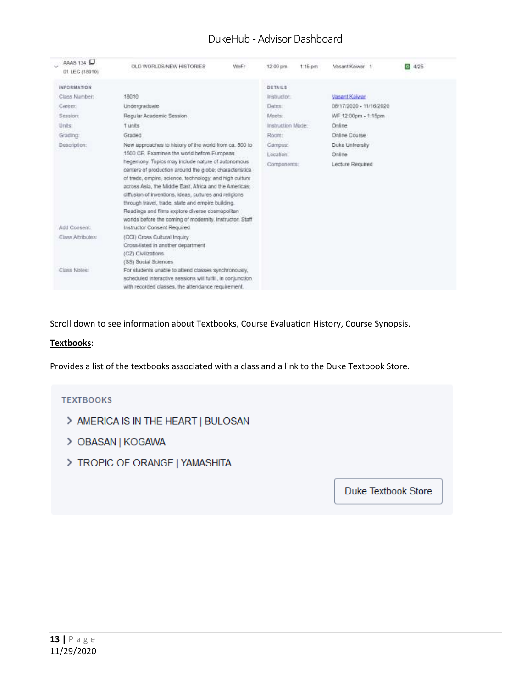| AAAS 134<br>01-LEC (18010) | OLD WORLDS/NEW HISTORIES                                                                                                                                                                                                                                                                                                                                                                                                                                                                       | WeFr | 12:00 pm          | $1.15$ pm | Vasant Kawar.           | 614/25 |
|----------------------------|------------------------------------------------------------------------------------------------------------------------------------------------------------------------------------------------------------------------------------------------------------------------------------------------------------------------------------------------------------------------------------------------------------------------------------------------------------------------------------------------|------|-------------------|-----------|-------------------------|--------|
| <b>INFORMATION</b>         |                                                                                                                                                                                                                                                                                                                                                                                                                                                                                                |      | DETAILS           |           |                         |        |
| Class Number:              | 18010                                                                                                                                                                                                                                                                                                                                                                                                                                                                                          |      | Instructor.       |           | Vasant Kaiwar           |        |
| Career:                    | Undergraduate.                                                                                                                                                                                                                                                                                                                                                                                                                                                                                 |      | Dates:            |           | 08/17/2020 - 11/16/2020 |        |
| Session:                   | Regular Academic Session                                                                                                                                                                                                                                                                                                                                                                                                                                                                       |      | Meets:            |           | WF 12:00pm - 1:15pm     |        |
| Units:                     | 1 units                                                                                                                                                                                                                                                                                                                                                                                                                                                                                        |      | Instruction Mode: |           | Online                  |        |
| Grading:                   | Graded                                                                                                                                                                                                                                                                                                                                                                                                                                                                                         |      | Room:             |           | Online Course           |        |
| Description:               | New approaches to history of the world from ca. 500 to                                                                                                                                                                                                                                                                                                                                                                                                                                         |      | Campus:           |           | Duke University         |        |
|                            | 1500 CE. Examines the world before European                                                                                                                                                                                                                                                                                                                                                                                                                                                    |      | Location:         |           | Online                  |        |
| Add Consent:               | hegemony. Topics may include nature of autonomous<br>centers of production around the globe; characteristics<br>of trade, empire, science, technology, and high culture<br>across Asia, the Middle East, Africa and the Americas:<br>diffusion of inventions, ideas, cultures and religions<br>through travel, trade, state and empire building.<br>Readings and films explore diverse cosmopolitan<br>worlds before the coming of modernity, instructor: Staff<br>Instructor Consent Required |      | Components:       |           | Lecture Required        |        |
| Class Attributes:          | (CCI) Cross Cultural Inquiry<br>Cross-listed in another department<br>(CZ) Civilizations<br>(SS) Social Sciences                                                                                                                                                                                                                                                                                                                                                                               |      |                   |           |                         |        |
| Ciass Notee:               | For students unable to attend classes synchronously,<br>scheduled interactive sessions will fulfill, in conjunction.<br>with recorded classes, the attendance requirement.                                                                                                                                                                                                                                                                                                                     |      |                   |           |                         |        |

Scroll down to see information about Textbooks, Course Evaluation History, Course Synopsis.

#### **Textbooks**:

Provides a list of the textbooks associated with a class and a link to the Duke Textbook Store.

#### **TEXTBOOKS**

- > AMERICA IS IN THE HEART | BULOSAN
- > OBASAN | KOGAWA
- > TROPIC OF ORANGE | YAMASHITA

Duke Textbook Store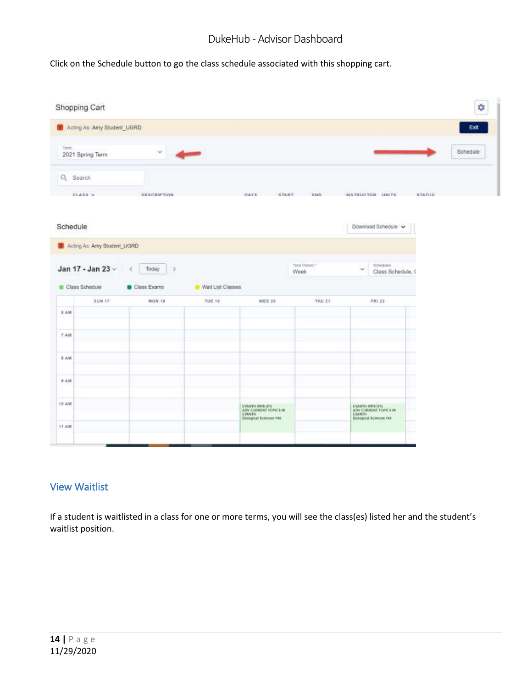Click on the Schedule button to go the class schedule associated with this shopping cart.

| Shopping Cart                                  |                                        |                    |                   |                                                                                       |                                   |                                                                                           |                          |          |
|------------------------------------------------|----------------------------------------|--------------------|-------------------|---------------------------------------------------------------------------------------|-----------------------------------|-------------------------------------------------------------------------------------------|--------------------------|----------|
|                                                | <b>Ch</b> Acting As: Arry Student_UGRD |                    |                   |                                                                                       |                                   |                                                                                           |                          | Exit     |
| Term.                                          | 2021 Spring Term                       | Ý.<br>4            |                   |                                                                                       |                                   |                                                                                           |                          | Schedule |
| Q Search                                       |                                        |                    |                   |                                                                                       |                                   |                                                                                           |                          |          |
| $CLASS =$                                      |                                        | <b>DESCRIPTION</b> |                   | DAVS:<br>START-                                                                       | 若解白                               | INSTRUCTOR UNITS                                                                          | STATUS                   |          |
| Schedule                                       |                                        |                    |                   |                                                                                       |                                   | Download Schedule v                                                                       |                          |          |
|                                                | 1 Acting As: Amy Student_UGRD          |                    |                   |                                                                                       |                                   |                                                                                           |                          |          |
|                                                |                                        |                    |                   |                                                                                       |                                   |                                                                                           |                          |          |
|                                                |                                        |                    |                   |                                                                                       |                                   |                                                                                           |                          |          |
|                                                | Jan 17 - Jan 23 -<br>x                 | Today<br>15        |                   |                                                                                       | Time Period. <sup>4</sup><br>Week | Scheduler.<br>$\sim$<br>Class Schedule, 0                                                 |                          |          |
| Class Schedule                                 |                                        | Class Exams        | Wait List Classes |                                                                                       |                                   |                                                                                           |                          |          |
|                                                | <b>SUN 17</b>                          | MON.18             | TUE 19            | WED 28                                                                                | THU 21                            | <b>デ共1 22</b>                                                                             |                          |          |
|                                                |                                        |                    |                   |                                                                                       |                                   |                                                                                           |                          |          |
|                                                |                                        |                    |                   |                                                                                       |                                   |                                                                                           | ÷                        |          |
|                                                |                                        |                    |                   |                                                                                       |                                   |                                                                                           | $\overline{\phantom{a}}$ |          |
|                                                |                                        |                    |                   |                                                                                       |                                   |                                                                                           | -                        |          |
|                                                |                                        |                    |                   |                                                                                       |                                   |                                                                                           | -                        |          |
| 6 AM<br>7.4M<br>9 AM<br>9 AM<br>10 AM<br>11 AM |                                        |                    |                   | EVANTH 4RIS (81)<br>ADV CURRENT TOPICS IN<br>EVANTH<br><b>Bislogical Sciences 184</b> |                                   | <b>FIGURE MOS REL</b><br>ADV CURRENT TOPICS IN<br>EVANTH<br><b>Biological Kcinces 188</b> |                          |          |

#### <span id="page-13-0"></span>View Waitlist

If a student is waitlisted in a class for one or more terms, you will see the class(es) listed her and the student's waitlist position.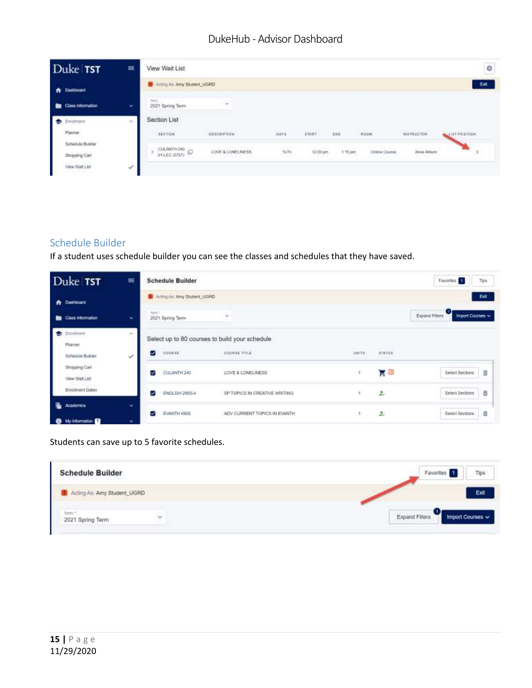| Duke TST                          | $\equiv$ | View Walt List                           |                                                |                    |                     |                              |                                   |                   | ¢                                                |
|-----------------------------------|----------|------------------------------------------|------------------------------------------------|--------------------|---------------------|------------------------------|-----------------------------------|-------------------|--------------------------------------------------|
| <b>A</b> Dashboard                |          | <b>30</b> Acting Art: Arry Student, UGRD |                                                |                    |                     |                              |                                   |                   | Ent                                              |
| Class information                 | ×        | TAYT:<br>2021 Spring Term                | Su.                                            |                    |                     |                              |                                   |                   |                                                  |
| ы<br>Envolvement<br>Placear       | w        | Section List<br>SECTION                  | <b>DESCRIPTION</b>                             | DATE               | <b>START</b>        | END                          | <b>ROOM</b>                       | <b>INSTRUCTOR</b> | AND RESPONSIVE CONTINUES IN THE<br>LIST POSITION |
| Schedule Builder<br>Shopping Carl |          | CLEANTH 243                              | LOVE & LONELINESS<br>AND DRIVER WITH STREET BY | $\hbar\omega\hbar$ | 100200-<br>12:00 pm | 6855597<br>$1.15$ pm<br>---- | Deline Course<br>all at the Chair | Arms Allman       |                                                  |
| View Watt List                    | ₹        |                                          |                                                |                    |                     |                              |                                   |                   |                                                  |

# <span id="page-14-0"></span>Schedule Builder

If a student uses schedule builder you can see the classes and schedules that they have saved.

| Duke TST                                            | $\equiv$     | <b>Schedule Builder</b>                |                                                |                        |                                     | Favorites 1<br>Tips                     |
|-----------------------------------------------------|--------------|----------------------------------------|------------------------------------------------|------------------------|-------------------------------------|-----------------------------------------|
| Dashboard<br>*                                      |              | <b>8</b> Acting Art: Amy Student, UGRD |                                                |                        |                                     | Ext                                     |
| Class Information<br>▬                              | $\checkmark$ | Tirtt."<br>2021 Spring Term            | $\sim$                                         |                        |                                     | 0<br>Expand Filters<br>Import Courses ~ |
| Enrolment<br><b>M</b><br>Planner                    | ON.          |                                        | Select up to 80 courses to build your schedule |                        |                                     |                                         |
| Schedule Bulder                                     | ×.           | COURSE<br>v                            | COURSE TITLE                                   | <b>TELEC</b><br>UNITS. | <b>STATISTICS</b><br>status.<br>05B |                                         |
| Shopping Carl<br>View Wall List                     |              | CULANTH 240<br>✓                       | LOVE & LONELINESS                              | ŋ.                     | g a                                 | Select Sections<br>ō                    |
| Enrothment Dates                                    |              | ENGLISH 2905-4<br>$\checkmark$         | BP TOPICS IN CREATIVE WRITING                  | ä.                     | z.                                  | ō<br>Select Sections                    |
| ı.<br><b>Academics</b><br>My information <b>Co.</b> | w<br>÷       | EVANTH 490S<br>v.                      | ADV CURRENT TOPICS IN EVANTH                   | 1.                     | $\ddot{z}$                          | ō<br>Select Sections                    |

#### Students can save up to 5 favorite schedules.

| <b>Schedule Builder</b><br>는 눈물이 있어서 그는 많이 아예 들어서. |   | Tips<br>Favorites 1                         |
|----------------------------------------------------|---|---------------------------------------------|
| Acting As: Amy Student_UGRD                        |   | Exit                                        |
| 2021 Spring Term                                   | v | Expand Filters<br>Import Courses $\backsim$ |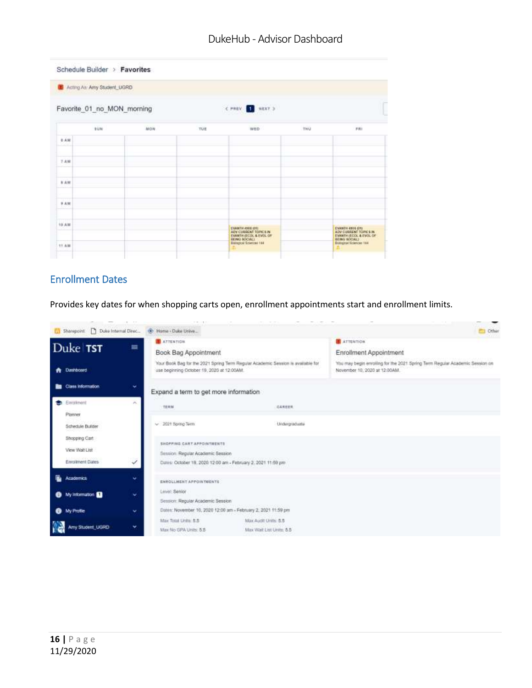|                                                | L Acting As: Amy Student_UGRD |     |     |                                                                    |     |                                                                    |  |  |  |  |
|------------------------------------------------|-------------------------------|-----|-----|--------------------------------------------------------------------|-----|--------------------------------------------------------------------|--|--|--|--|
| C PREV. 1 HEXT 3<br>Favorite_01_no_MON_morning |                               |     |     |                                                                    |     |                                                                    |  |  |  |  |
|                                                | <b>BUN</b>                    | MON | TÚE | Louis Andrew<br>WED                                                | THU | PHI                                                                |  |  |  |  |
| 8.438                                          |                               |     |     |                                                                    |     |                                                                    |  |  |  |  |
| 子术键                                            |                               |     |     |                                                                    |     |                                                                    |  |  |  |  |
| $x + w$                                        |                               |     |     |                                                                    |     |                                                                    |  |  |  |  |
| 9.4M                                           |                               |     |     |                                                                    |     |                                                                    |  |  |  |  |
| <b>TYYSYK</b><br>10 AM                         |                               |     |     | EVANTH ASSESSED<br>ADV CURRENT TOPICS IN<br>EVANTH (ECOL & EVOL OF |     | EVANTH 4805 870.<br>ADV CURRENT TOWER IN<br>EVANTH (ECOL & EVOL OF |  |  |  |  |

# <span id="page-15-0"></span>Enrollment Dates

Provides key dates for when shopping carts open, enrollment appointments start and enrollment limits.

| Duke Internal Direc.<br>[ Sharepoint: | $1 - 17$<br>.<br>+ Home - Duke Unive       |                                                                                  | Cither                                                                                                        |
|---------------------------------------|--------------------------------------------|----------------------------------------------------------------------------------|---------------------------------------------------------------------------------------------------------------|
|                                       | ATTENTION<br>≡                             |                                                                                  | <b>ATTENTION</b>                                                                                              |
| Duke TST                              | Book Bag Appointment                       |                                                                                  | <b>Enrollment Appointment</b>                                                                                 |
| <b>A</b> Dashboard                    | use beginning October 19, 2020 at 12:00AM. | Your Book Bag for the 2021 Spring Term Regular Academic Session is available for | You may begin enrolling for the 2021 Spring Term Regular Academic Session on<br>November 10, 2020 at 12:00AM. |
| Class Information<br>▬                | v<br>Expand a term to get more information |                                                                                  |                                                                                                               |
| Enrothment<br>o                       | ×<br>TERM                                  | CAREER                                                                           |                                                                                                               |
| Planner                               |                                            |                                                                                  |                                                                                                               |
| Schedule Builder                      | $~\vee~$ 2021 Spring Term                  | Undergraduate                                                                    |                                                                                                               |
| Shopping Cart                         | SHOPPING CARTAPPOINTMENTS                  |                                                                                  |                                                                                                               |
| View Yilah List                       | Session: Regular Academic Session          |                                                                                  |                                                                                                               |
| Enrolment Dates                       | √                                          | Dates: October 19, 2020 12:00 am - February 2, 2021 11:59 pm                     |                                                                                                               |
| ъ.<br>Academics                       | v<br>ENROLLMENT APPOINTMENTS               |                                                                                  |                                                                                                               |
| My Information<br>0                   | Lewill: Senior<br>v                        |                                                                                  |                                                                                                               |
|                                       | Session: Regular Academic Session          |                                                                                  |                                                                                                               |
| My Profile<br>e                       | v                                          | Daten: November 10, 2020 12:00 am - February 2, 2021 11:59 pm                    |                                                                                                               |
| Amy Student_UGRD                      | Max Total Linits: 5.5<br>v.                | Max Audit Units: 5.5                                                             |                                                                                                               |
| J.                                    | Max filo GPA Units: 5.5                    | Max Vitalt List Units: 5.5                                                       |                                                                                                               |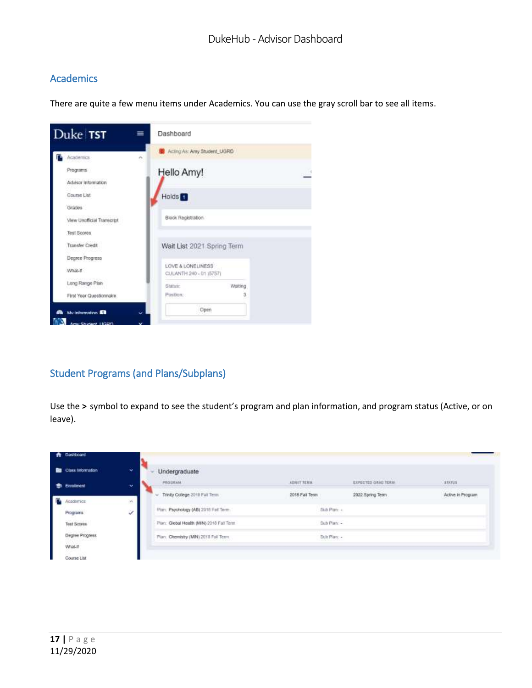#### <span id="page-16-0"></span>**Academics**

There are quite a few menu items under Academics. You can use the gray scroll bar to see all items.



#### <span id="page-16-1"></span>Student Programs (and Plans/Subplans)

Use the **>** symbol to expand to see the student's program and plan information, and program status (Active, or on leave).

| <b>N</b> Dashboard |                          |                                          |                                            |                                                      |                   |
|--------------------|--------------------------|------------------------------------------|--------------------------------------------|------------------------------------------------------|-------------------|
| Class Information  | ۷                        | Undergraduate                            |                                            |                                                      |                   |
| Enrolment<br>÷     | $\overline{\phantom{a}}$ | PROGRAM                                  | THE RESIDENCE ROLL FOR SALE<br>ADMIT TORIA | <b>CONTRACTOR ANGELES INC.</b><br>EUPECTED GRAD TERM | STATUS            |
| <b>Academica</b>   | ×.<br>w                  | Trinky College 2018 Fall Term<br>$\sim$  | 2018 Fall Term                             | 2022 Spring Term                                     | Active in Program |
| Programs           | ر                        | Plan: Psychology (AB) 2018 Fall Term.    | Sub Pran: +                                |                                                      |                   |
| Test Scores        |                          | Plan: Global Health (MIN) 2018 Fall Term | Sub Plan -                                 |                                                      |                   |
| Degree Progress    |                          | Plan: Chemistry (MN) 2011 Fail Term:     | Sub Plan: -<br>-------                     |                                                      |                   |
| What-If            |                          |                                          |                                            |                                                      |                   |
| Course List        |                          |                                          |                                            |                                                      |                   |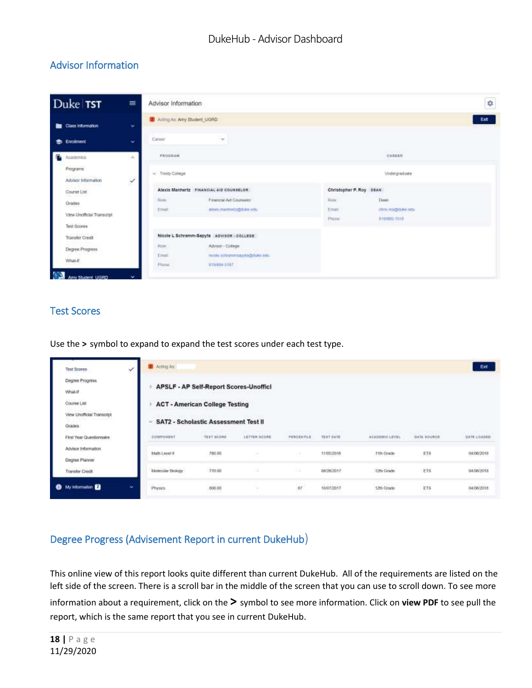# <span id="page-17-0"></span>Advisor Information

| Duke TST                                                           | $\equiv$                 | Advisor Information           |                                                                                                           |                                  |                                             | ¢    |
|--------------------------------------------------------------------|--------------------------|-------------------------------|-----------------------------------------------------------------------------------------------------------|----------------------------------|---------------------------------------------|------|
| <b>Bu</b> Class information                                        | ÷                        | 1 Acting As: Amy Student UGRD |                                                                                                           |                                  |                                             | Exit |
| <b>St.</b> Enrolment                                               | $\checkmark$             | Career                        | $\sim$                                                                                                    |                                  |                                             |      |
| г<br>Asidemics                                                     | $\mathcal{P}_\mathrm{b}$ | PROGRAM                       |                                                                                                           |                                  | <b>POINTS</b><br>日本発言系数                     |      |
| Programs<br><b>Address Country Country</b><br>Advisor Information  | $\checkmark$             | $v$ Trinity College           |                                                                                                           |                                  | <b>Undergraduate</b>                        |      |
| Course List                                                        |                          |                               | Alexis Manhertz Financial aid counselor                                                                   | Christopher P. Roy DEAN          |                                             |      |
| 1983 S.C. 66<br>Grades<br>View Unofficial Transcript               |                          | <b>Hune</b><br>Ettell         | Financial Aid Counselor<br>alcots machertz@doke.edu                                                       | <b>Date:</b><br>Email.<br>Phone: | Dagit<br>chris my@dutes edu<br>010/000-3018 |      |
| Test Sconne<br><b>Transfer Credit</b><br>Degree Progress<br>What-E |                          | Role<br>Timait<br>Phimic      | Nicole L Schramm-Sapyta Advison couleur<br>Advisor - College<br>нсов эсполителемо@фико.edu<br>919184-5187 |                                  |                                             |      |

#### <span id="page-17-1"></span>Test Scores

Use the **>** symbol to expand to expand the test scores under each test type.

| ୰<br>Test Scores                        | <b>B</b> Acting As: |                                        |              |               |                      |                |             | Ext                               |
|-----------------------------------------|---------------------|----------------------------------------|--------------|---------------|----------------------|----------------|-------------|-----------------------------------|
| Degree Progress<br>What-If              |                     | APSLF - AP Self-Report Scores-Unoffici |              |               |                      |                |             |                                   |
| Course List                             |                     | <b>ACT - American College Testing</b>  |              |               |                      |                |             |                                   |
| View Unofficial Transcript<br>Grades    | w                   | SAT2 - Scholastic Assessment Test II   |              |               |                      |                |             |                                   |
| First Year Questionnaire                | COMPOMET            | TEST SCORE                             | LETTER SCORE | PERCENTILE    | <b>TERT DATE</b>     | ACADEMIC LEVEL | GATA SOURCE | DATE LOADED                       |
| Advisor Information<br>Degree Planner   | Math Level II       | 780.00                                 |              | $\rightarrow$ | 11/05/2016           | 11th Grade     | E18         | 04/06/2018                        |
| Transfer Credit                         | Motecular Brology   | 770.00                                 | YS.          | $\lesssim$    | 05/26/2017           | 12th Grade     | <b>ETS</b>  | 04/06/2018                        |
| ×.<br><b>O</b> My information <b>EX</b> | <b>Physics</b>      | <b>REPS</b><br>800.00                  |              | 87            | an noo<br>10/07/2017 | 12th Grade     | ET5         | <b>Abbased Call</b><br>04/06/2018 |

#### <span id="page-17-2"></span>Degree Progress (Advisement Report in current DukeHub)

This online view of this report looks quite different than current DukeHub. All of the requirements are listed on the left side of the screen. There is a scroll bar in the middle of the screen that you can use to scroll down. To see more

information about a requirement, click on the **>** symbol to see more information. Click on **view PDF** to see pull the report, which is the same report that you see in current DukeHub.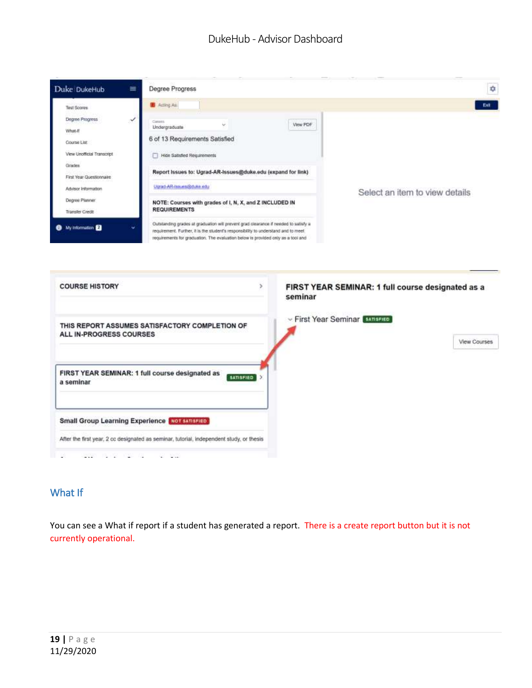

| <b>COURSE HISTORY</b>                                                                    | FIRST YEAR SEMINAR: 1 full course designated as a<br>×<br>seminar |
|------------------------------------------------------------------------------------------|-------------------------------------------------------------------|
| THIS REPORT ASSUMES SATISFACTORY COMPLETION OF<br>ALL IN-PROGRESS COURSES                | Eirst Year Seminar sansered<br>View Courses                       |
| FIRST YEAR SEMINAR: 1 full course designated as<br><b>SATISFIED</b><br>a seminar         |                                                                   |
| <b>Small Group Learning Experience [MOT SATISFIED]</b>                                   |                                                                   |
| After the first year, 2 cc designated as seminar, tutorial, independent study, or thesis |                                                                   |

#### <span id="page-18-0"></span>What If

You can see a What if report if a student has generated a report. There is a create report button but it is not currently operational.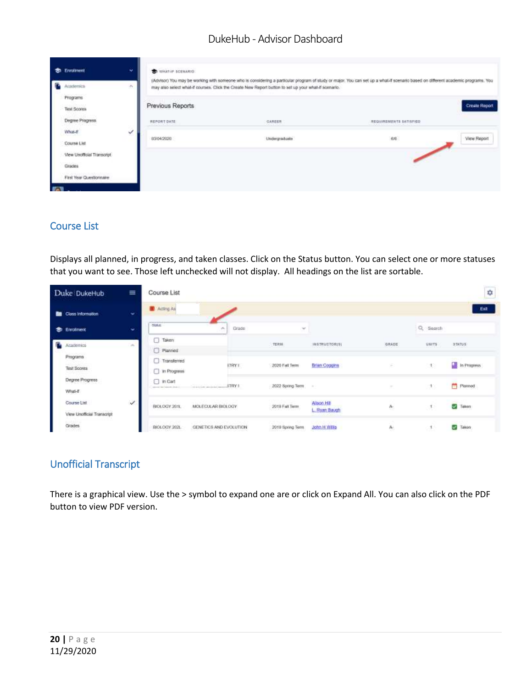| ÷<br>ŗ.     | Erwollment<br>Academica                                        | ÷ | WHAT'S SCENARIO                 | may also select whal-if courses. Click the Create New Report button to set up your what-if sonnario. | (Advisor) You may be working with someone who is considering a particular program of study or major. You can set up a what if scenario based on different academic programs. You |                      |
|-------------|----------------------------------------------------------------|---|---------------------------------|------------------------------------------------------------------------------------------------------|----------------------------------------------------------------------------------------------------------------------------------------------------------------------------------|----------------------|
|             | Programs<br>Tirat Scores<br>Degree Progress.                   |   | Previous Reports<br>REPORT DATE | CAREER                                                                                               | REQUIREMENTS SATISFIED                                                                                                                                                           | <b>Create Report</b> |
|             | What-If<br>Course List<br>View Unofficial Transcript<br>Grades | ୰ | 03/04/2020                      | Undergraduate                                                                                        | 布地                                                                                                                                                                               | View Report          |
| <b>Fall</b> | First Year Questionnaire                                       |   |                                 |                                                                                                      |                                                                                                                                                                                  |                      |

#### <span id="page-19-0"></span>Course List

Displays all planned, in progress, and taken classes. Click on the Status button. You can select one or more statuses that you want to see. Those left unchecked will not display. All headings on the list are sortable.

| Duke DukeHub                              | 亜                | Course List                                             |                        |                  |                              |        |          | Φ                 |
|-------------------------------------------|------------------|---------------------------------------------------------|------------------------|------------------|------------------------------|--------|----------|-------------------|
| Closs information                         | ÷                | Acting As                                               |                        |                  |                              |        |          | Ext               |
| ٠<br>Errollment                           | ٠                | <b>SMAIL</b>                                            | Grade<br>$\sim$        | $\sim$           |                              |        | Q Search |                   |
| Arademics                                 | $\omega_{\rm c}$ | Taken<br>Planned                                        |                        | TERM             | <b>JNSTRUCTOR(S)</b>         | GRADE  | UNITS    | <b>STATUS</b>     |
| 580,530<br>Programs<br><b>Test Scores</b> |                  | Transferred<br><b>D</b> In Progress                     | <b>FTRY I</b>          | 2020 Fail Term   | <b>Brian Coggins</b>         | s.     | 10       | a,<br>In Progress |
| Degree Progress<br>What-E                 |                  | $\Box$ in Carl<br>statement lines between the statement |                        | 2022 Spring Torm | $\sim$                       | $\sim$ | H.       | ۰<br>Planned      |
| Course List<br>View Unofficial Transcript | $\checkmark$     | BIOLOGY 201L                                            | MOLECULAR BIOLOGY      | 2019 Fall Term   | Allson Hill<br>L. Ryan Baugh | Ą.     | 无        | V.<br>Taken       |
| Grades                                    |                  | BIOLOGY 2021.                                           | GENETICS AND EVOLUTION | 2019 Spring Term | <b>John H Willis</b>         | A.     |          | V,<br>Taken:      |

#### <span id="page-19-1"></span>Unofficial Transcript

There is a graphical view. Use the > symbol to expand one are or click on Expand All. You can also click on the PDF button to view PDF version.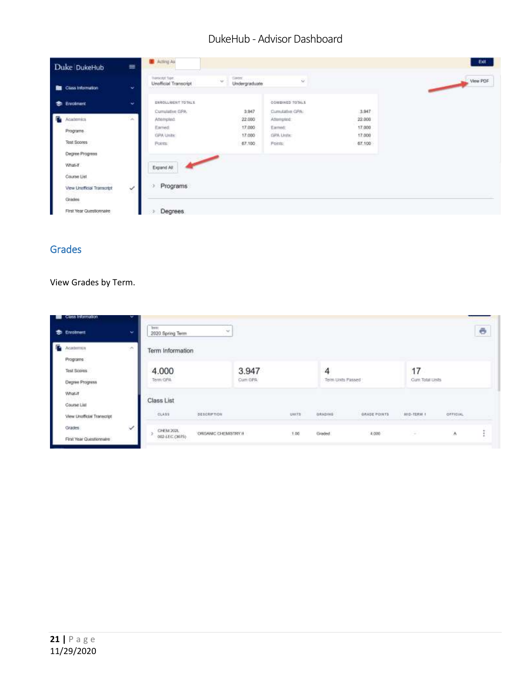| Duke DukeHub                                      | $\equiv$                    | Acting As<br><b><i>Property Services</i></b>                                   |                                                                          |                 |                  | Exit     |
|---------------------------------------------------|-----------------------------|--------------------------------------------------------------------------------|--------------------------------------------------------------------------|-----------------|------------------|----------|
| Class Information                                 | w                           | Transcript Type.<br>Unafficial Transcript<br>pati Ministerykla nebližnosta cen | Carter.<br>$\sim$<br>Undergraduate<br>LA 12 Conceller global acceptances | ù               |                  | View PDF |
| <b>S</b> Enrotment                                | w                           | ENROLL-MENT TOTALS                                                             |                                                                          | COMBINED TOTALS |                  |          |
|                                                   |                             | Cumulative GPA:                                                                | 3.947                                                                    | Cumulative CPA: | 3.947            |          |
| R<br>Academics                                    | $\mathcal{L}_{\mathcal{M}}$ | Attempted:                                                                     | 22,000                                                                   | Attempted       | 22.000           |          |
|                                                   |                             | Earned:                                                                        | 17,000                                                                   | Earned:         | 17,000           |          |
| Programs.                                         |                             | <b>GPA Units:</b>                                                              | 17.000                                                                   | GPA Unite:      | 17,000<br>72 P.D |          |
| <b>Test Scores</b>                                |                             | Potter:                                                                        | 67.100                                                                   | Foints:         | 67.100           |          |
| Degree Progress                                   |                             |                                                                                |                                                                          |                 |                  |          |
| What-T                                            |                             | Expand All                                                                     |                                                                          |                 |                  |          |
| Course List                                       |                             |                                                                                |                                                                          |                 |                  |          |
|                                                   |                             | Programs                                                                       |                                                                          |                 |                  |          |
| View Unofficial Transcript<br>- 10 - 10 - 10 - 10 | Y                           |                                                                                |                                                                          |                 |                  |          |
| Grades                                            |                             |                                                                                |                                                                          |                 |                  |          |
| First Year Questionnaire                          |                             | <b>Degrees</b>                                                                 |                                                                          |                 |                  |          |

# <span id="page-20-0"></span>Grades

#### View Grades by Term.

| Cluss Information<br><b>Enrolment</b><br>∙           | $\sim$                      | Terer.<br>2020 Spring Term  | $\sim$                                              |                  |                           |                                              |                                   |                                                   |                                       | ō |
|------------------------------------------------------|-----------------------------|-----------------------------|-----------------------------------------------------|------------------|---------------------------|----------------------------------------------|-----------------------------------|---------------------------------------------------|---------------------------------------|---|
| в<br>Academics<br>Programs:                          | $\mathcal{P}^{\mathcal{C}}$ | Term Information            |                                                     |                  |                           |                                              |                                   |                                                   |                                       |   |
| Test Scores<br>Degree Progress                       |                             | 4.000<br>Term GPA           |                                                     | 3.947<br>Cum GPA |                           | 4<br>Term Units Passed                       |                                   | 17<br>Cunt Total Units<br>ひょう アアミット・アクセッサー        |                                       |   |
| What If<br>Course List<br>View Unofficial Transcript |                             | Class List<br>GLASS         | <b>GRONOLOGIC</b><br><b>BESCRIPTION</b><br>rerewane |                  | <b>TALLY COM</b><br>UNITS | PERSONAL PROPERTY<br><b>GRADING</b><br>an wa | <b>CONTRACTOR</b><br>GRADE POINTS | <b>CALIFORNIA E PERSONALE</b><br><b>加压-TERM 8</b> | <b>USSTED</b><br><b>OFFICIAL</b><br>. |   |
| Grades:<br>First Year Questionnaire                  | ✓                           | CHEM 202L<br>002 LEC (3675) | ORGANIC CHEMISTRY II                                |                  | $+00$                     | Graded                                       | 4,000                             | <b>CAR</b>                                        | W                                     |   |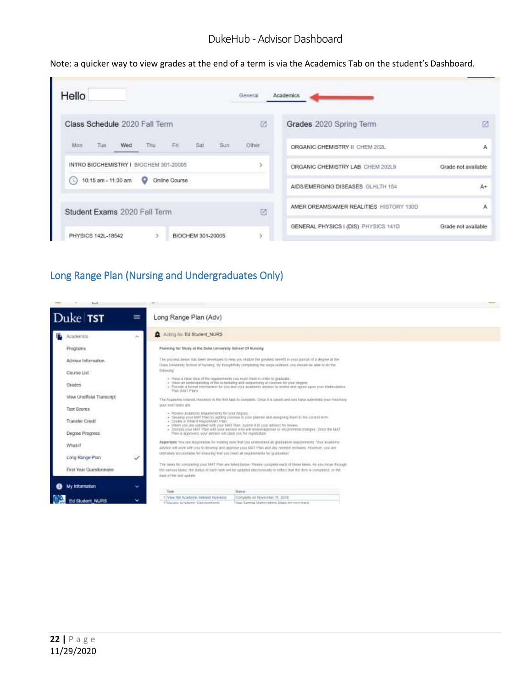Note: a quicker way to view grades at the end of a term is via the Academics Tab on the student's Dashboard.

| Hello                                                 | General | Academics                               |                      |
|-------------------------------------------------------|---------|-----------------------------------------|----------------------|
| Class Schedule 2020 Fall Term                         | 艺       | Grades 2020 Spring Term                 | E                    |
| sun<br>Thu<br>Sat<br>Tue<br>FH<br>Man<br>Wed          | Other   | ORGANIC CHEMISTRY II CHEM 202L          | Α                    |
| INTRO BIOCHEMISTRY   BIOCHEM 301-20005                |         | ORGANIC CHEMISTRY LAB CHEM 202L9        | Grade not available  |
| Online Course<br>(0) 10:15 am - 11:30 am<br>$\bullet$ |         | AIDS/EMERGING DISEASES GLHLTH 154       | A+                   |
| Student Exams 2020 Fall Term                          | Ø       | AMER DREAMS/AMER REALITIES HISTORY 130D | A                    |
| PHYSICS 142L-18542<br>BIOCHEM 301-20005               |         | GENERAL PHYSICS I (DIS) PHYSICS 141D    | Grade not available. |

# <span id="page-21-0"></span>Long Range Plan (Nursing and Undergraduates Only)

| Duke TST                           | $\equiv$<br>Long Range Plan (Adv)                                                                                                                                                                                                                                                                                                                                                                                                                                                                   |  |
|------------------------------------|-----------------------------------------------------------------------------------------------------------------------------------------------------------------------------------------------------------------------------------------------------------------------------------------------------------------------------------------------------------------------------------------------------------------------------------------------------------------------------------------------------|--|
| Academics                          | Acting Air: Ed Student, NURS<br>×                                                                                                                                                                                                                                                                                                                                                                                                                                                                   |  |
| Programs                           | Planning for toudy at the Duke University School Of Nursing                                                                                                                                                                                                                                                                                                                                                                                                                                         |  |
| Advisor Information                | The process helivy lias tiess invercied to help you reake the present tienett in your published at a degree at the<br>Diave Littversity School of Naneng. By thraphtfully completing the steps radioted, you stands be able to do the                                                                                                                                                                                                                                                               |  |
| Course List                        | followings                                                                                                                                                                                                                                                                                                                                                                                                                                                                                          |  |
| Grades                             | · Have a calar steel of the requirements you must meet in retire to graduate.<br>. Have all understanding of the scheduling and sequences of courses for your degree.<br>. Psyade a formal restitution for you and your academic advisor to revew and agree upon pruntilationalment<br>Pan Itali Ponu                                                                                                                                                                                               |  |
| View Unofficial Transcript         | The Academic Milental Hoseboy is the feat last to compute. Chos it is sayed and you have submitted your Weather.                                                                                                                                                                                                                                                                                                                                                                                    |  |
| Test Scores                        | YOUR RENT TIRRIE door                                                                                                                                                                                                                                                                                                                                                                                                                                                                               |  |
| Transfer Credit<br>Degree Progress | > REVIEW ACADITIES INQUIRING THE SINT RESERVED TO A CONTRACT CONTRACT A CONTRACT AND<br>. Develop your MAT Plan by acting courses to your planner and assigning flyen in the correct term.<br>. Create a What if Report/WI Ptan.<br>. When you are satisfied with your MAY Plain authors it is your advisor for review.<br>- Decuss your MAT Plan with your advisor who will review approve or recommission sesses. Once the MAT<br>Pain is approved, your adviser will dear you for registration." |  |
| What If                            | Important You are required to making sure that you understant all graduates requirements. Your academic<br>advisor will work with you to deverop and approve your MAT than and dry needed revisions. However, you are                                                                                                                                                                                                                                                                               |  |
| Long Range Plan                    | uttimately accountable for ensuring but you meet at requirements for graduation."<br>✓                                                                                                                                                                                                                                                                                                                                                                                                              |  |
| First Year Questionnaire           | The taxes for completed your MAT Plan and loted being: Please complete wach of these taxes. As you move through<br>the sample tasks, the stake) of each task will be usingled electronically to reflect mat the term is completed, or the<br>state of the both spokels.                                                                                                                                                                                                                             |  |
| My Information                     | س                                                                                                                                                                                                                                                                                                                                                                                                                                                                                                   |  |
|                                    | Task<br><b>Status</b><br>17 Year the Academic soldiest twenton-<br>Compete on November 11, 2016                                                                                                                                                                                                                                                                                                                                                                                                     |  |
| Student NUSS                       | $\checkmark$<br>9 December Artschumer Hastenwennenbe-<br>Hap Spreak Matterdates Diana for your track                                                                                                                                                                                                                                                                                                                                                                                                |  |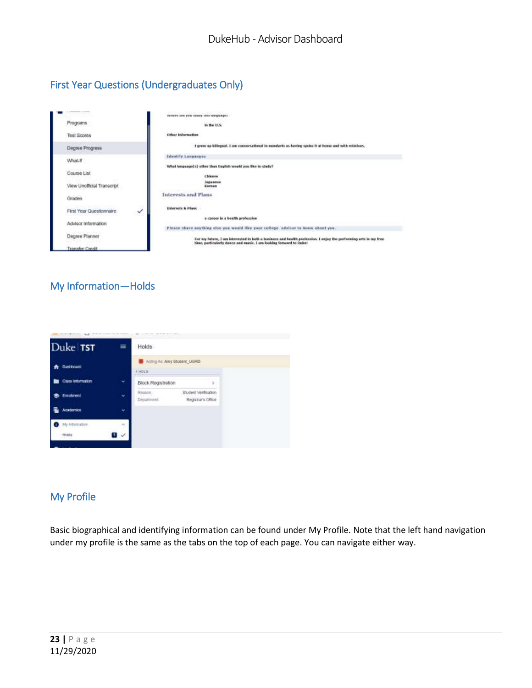# <span id="page-22-0"></span>First Year Questions (Undergraduates Only)



#### <span id="page-22-1"></span>My Information—Holds



#### <span id="page-22-2"></span>My Profile

Basic biographical and identifying information can be found under My Profile. Note that the left hand navigation under my profile is the same as the tabs on the top of each page. You can navigate either way.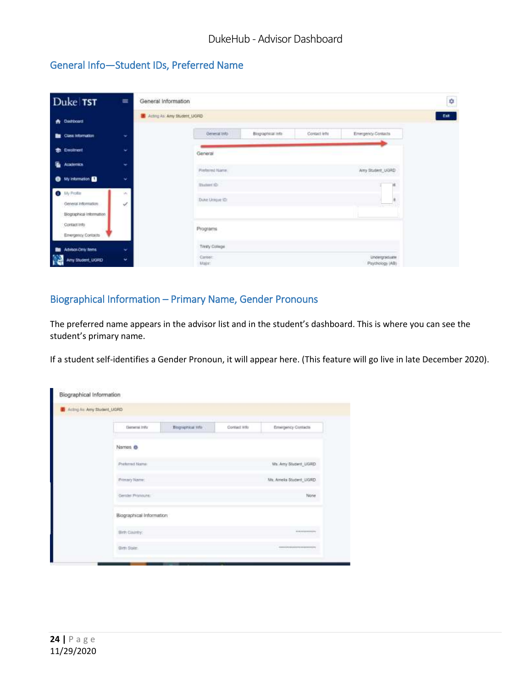# <span id="page-23-0"></span>General Info—Student IDs, Preferred Name

| Duke TST                                        | $\equiv$ | General Information          |                 |                   |              |                                  | 0    |
|-------------------------------------------------|----------|------------------------------|-----------------|-------------------|--------------|----------------------------------|------|
| <b>A</b> Dashboard                              |          | Acting As: Any Student, UGRD |                 |                   |              |                                  | Est. |
| Cass information                                | ٠        |                              | General Into    | Biographical into | Contact Inth | Emmgenty Contacts                |      |
| <b>St.</b> Enginest                             | w        |                              | General         |                   |              |                                  |      |
| Ë.<br><b>Academics</b>                          | ÷        |                              | Pieterred Name  |                   |              | Any Stutent, UGRD                |      |
| <b>O</b> My Internation                         | ×        |                              | thummith-       |                   |              | œ                                |      |
| O My Profile                                    | W.       |                              | Duke Unique (D) |                   |              |                                  |      |
| General Information<br>Biographical Information | Â,       |                              |                 |                   |              |                                  |      |
| Contact Info<br>Emergency Contacts              |          |                              | Programs        |                   |              |                                  |      |
| Advisor-Driv Items                              | ÷        |                              | Titraty College |                   |              |                                  |      |
| Any Student_UGRD<br>B                           | ٠        |                              | Carber<br>Male: |                   |              | Undergraduate<br>Psychology (AB) |      |

#### <span id="page-23-1"></span>Biographical Information – Primary Name, Gender Pronouns

The preferred name appears in the advisor list and in the student's dashboard. This is where you can see the student's primary name.

If a student self-identifies a Gender Pronoun, it will appear here. (This feature will go live in late December 2020).

| Denessi Info             | Biographical Info | Contract Who | Emergency Contacts       |
|--------------------------|-------------------|--------------|--------------------------|
| Names <sup>®</sup>       |                   |              |                          |
| Polletred Name           |                   |              | Ms. Amy Student, UGRD.   |
| Primary Name:            |                   |              | Ms. Amela Student, UGRD. |
| Gettiel Postoune         |                   |              | None                     |
| Biographical Information |                   |              |                          |
| Sirih Claimly:           |                   |              |                          |
| Sim State:               |                   |              |                          |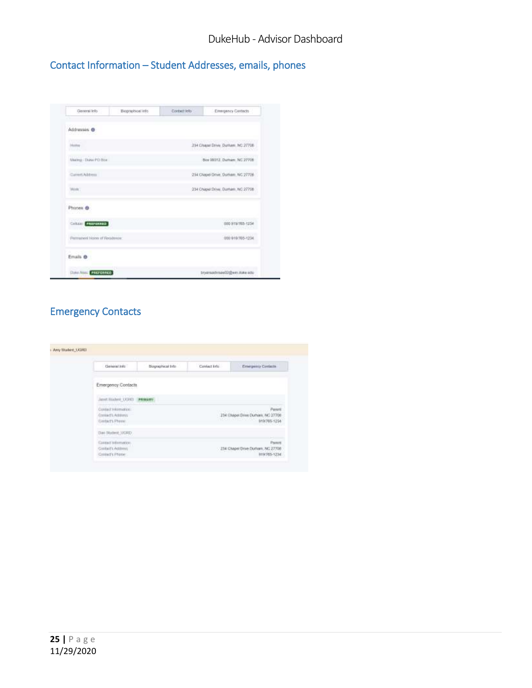<span id="page-24-0"></span>Contact Information – Student Addresses, emails, phones

| General Info                                                     | Biographical info. | Content Into | Emergency Contects                                                            |
|------------------------------------------------------------------|--------------------|--------------|-------------------------------------------------------------------------------|
| Addresses ®                                                      |                    |              |                                                                               |
| conse<br>Motive                                                  |                    |              | 1 52 Y & 1 53 Y & 1 1 1 1 1 2 3 4 4 5 6 7<br>234 Chase Drive Dutham, NC 27708 |
| Weing - Duke PD Box                                              |                    |              | Box 00012, Durham, NC 27708                                                   |
| Catern Address                                                   |                    |              | 234 Chapel Orlve, Durham, NC 27706                                            |
| Wirk?                                                            |                    |              | 234 Chigail Drive, Dollarn, NC 27758                                          |
| Phones ®                                                         |                    |              |                                                                               |
| CHILLET PREFERENCE<br><b>The State of the Party of the State</b> |                    |              | 000 918/705-1234                                                              |
| Permanent Home of Registrate                                     |                    |              | 000-919705-1234                                                               |
| Emails ®                                                         |                    |              |                                                                               |
| <b>Claims American Principal Property Co.</b>                    |                    |              | этуатаафтан02@wn.max.equ                                                      |

# <span id="page-24-1"></span>Emergency Contacts

| Emergency Contacts                                                               |                                       |                             |                                                            |
|----------------------------------------------------------------------------------|---------------------------------------|-----------------------------|------------------------------------------------------------|
|                                                                                  |                                       |                             |                                                            |
|                                                                                  |                                       |                             |                                                            |
| Contact Internation.<br>Contact's Address<br>Gastect's Phone:<br>a grand to have |                                       |                             | Parent<br>234 Chapel Drive Durham, NC 27708<br>ata/46 1294 |
| Dan Skadent (UGRD)                                                               |                                       |                             |                                                            |
| Contact information.                                                             |                                       |                             | Parent                                                     |
|                                                                                  | Giolalt's Address<br>Contact's Phone: | Annt History (1080) PRIMARY | 234 Chapel Drive Durfram, NC 27708                         |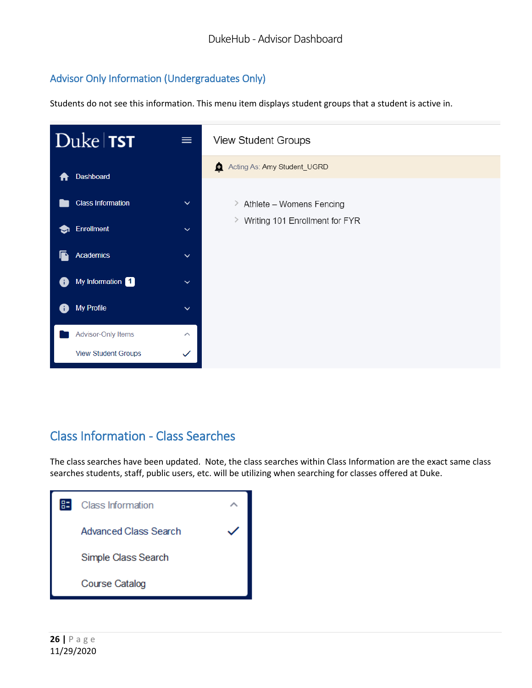# <span id="page-25-0"></span>Advisor Only Information (Undergraduates Only)

Students do not see this information. This menu item displays student groups that a student is active in.



# Class Information - Class Searches

The class searches have been updated. Note, the class searches within Class Information are the exact same class searches students, staff, public users, etc. will be utilizing when searching for classes offered at Duke.

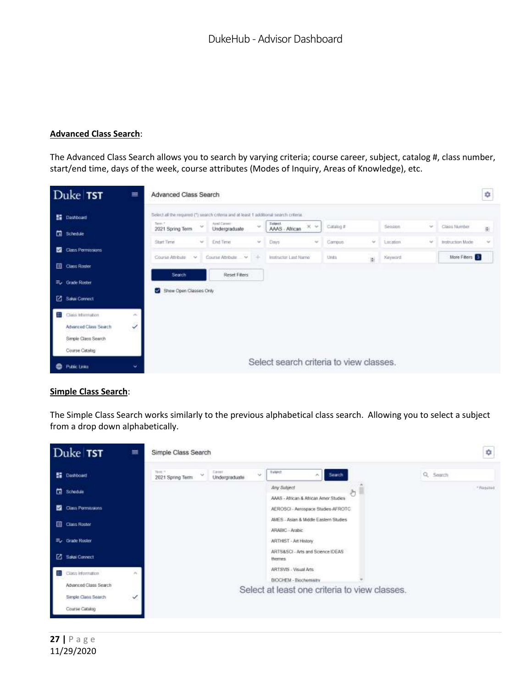#### **Advanced Class Search**:

The Advanced Class Search allows you to search by varying criteria; course career, subject, catalog #, class number, start/end time, days of the week, course attributes (Modes of Inquiry, Areas of Knowledge), etc.

|   | Duke TST                    | ≡                           | Advanced Class Search                                                                  |        |                                |            |                                         |                  |            |                             |                  | ÷              |
|---|-----------------------------|-----------------------------|----------------------------------------------------------------------------------------|--------|--------------------------------|------------|-----------------------------------------|------------------|------------|-----------------------------|------------------|----------------|
|   | <b>Ed</b> Dashboard         |                             | Select all the required (*) search criteria and at least 1 additional search criteria. |        |                                |            |                                         |                  |            |                             |                  |                |
|   |                             |                             | Terre C.<br>2021 Spring Term                                                           | $\sim$ | Atre3 Career:<br>Undergraduate | $\sim$     | Sebinet.<br>$\times$<br>AAAS - African  | Catalog #        | Session    | $\mathcal{L}_{\mathcal{C}}$ | Chica fauriber   | $\overline{M}$ |
|   | <b>El</b> Schedule          |                             | <b>Start Time</b>                                                                      | $\sim$ | End Time                       | w.         | Days<br>$\sim$                          | Campus<br>$\sim$ | 1 neation. | $\sim$                      | Instruction Made | $\sim$         |
| п | Class Permissions           |                             | Course Attribute                                                                       | 1.54   | Course AthRute V               | <b>ISE</b> | Instructor Last Name                    | Units<br>iş.     | Keyword.   |                             | More Filters     |                |
|   | <b>Class Roser</b>          |                             |                                                                                        |        |                                |            |                                         |                  |            |                             |                  |                |
|   | E <sub>v</sub> Grade Roster |                             | Search                                                                                 |        | Reset Fiters                   |            |                                         |                  |            |                             |                  |                |
|   | Sakai Connect               |                             | Show Open Classes Only                                                                 |        |                                |            |                                         |                  |            |                             |                  |                |
| ۃ | Class Information           | $\mathcal{M}_{\mathrm{in}}$ |                                                                                        |        |                                |            |                                         |                  |            |                             |                  |                |
|   | Advanced Class Search       | Ï                           |                                                                                        |        |                                |            |                                         |                  |            |                             |                  |                |
|   | Simple Class Search         |                             |                                                                                        |        |                                |            |                                         |                  |            |                             |                  |                |
|   | Course Catalog              |                             |                                                                                        |        |                                |            |                                         |                  |            |                             |                  |                |
| ⊕ | <b>Public Links</b>         | ŵ.                          |                                                                                        |        |                                |            | Select search criteria to view classes. |                  |            |                             |                  |                |

#### **Simple Class Search**:

The Simple Class Search works similarly to the previous alphabetical class search. Allowing you to select a subject from a drop down alphabetically.

|    | Duke TST                    | ≡  | Simple Class Search               |                               |                                                          |   |          | ¢               |
|----|-----------------------------|----|-----------------------------------|-------------------------------|----------------------------------------------------------|---|----------|-----------------|
|    | <b>SE</b> Dashboard         |    | Time: 1<br>i.<br>2021 Spring Term | Carmel<br>i.<br>Undergraduate | Salect<br>Search<br>×.                                   |   | Q Search |                 |
|    | Schedule                    |    |                                   |                               | Any Subject<br>AAAS - African & African Amer Studies     | ð |          | $-$ Richard III |
| п  | Class Permissions           |    |                                   |                               | AEROSCI - Aerospace Studies-AFROTC                       |   |          |                 |
|    | <b>Ell</b> Class Roster     |    |                                   |                               | AMES - Asian & Middle Eastern Studies<br>ARABIC - Arabic |   |          |                 |
|    | <sup>二</sup> 。 Grade Roster |    |                                   |                               | <b>ARTHIST - Art History</b>                             |   |          |                 |
|    | 2 Salai Connect             |    |                                   |                               | ARTS&SCI - Arts and Science IDEAS<br>themes.             |   |          |                 |
| 82 | Class Information           | n. |                                   |                               | ARTSVIS - Visual Arts                                    |   |          |                 |
|    | Advanced Class Search       |    |                                   |                               | BIOCHEM - Biochemistry                                   |   |          |                 |
|    |                             |    |                                   |                               | Select at least one criteria to view classes.            |   |          |                 |
|    | Simple Class Search         | ୰  |                                   |                               |                                                          |   |          |                 |
|    | Course Catalog              |    |                                   |                               |                                                          |   |          |                 |
|    |                             |    |                                   |                               |                                                          |   |          |                 |